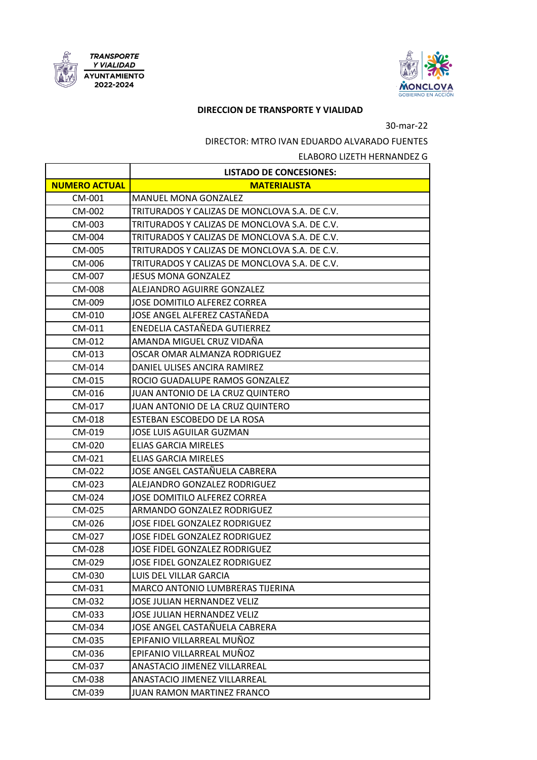



## *PIRECCION DE TRANSPORTE Y VIALIDAD*

## 30-mar-22

DIRECTOR: MTRO IVAN EDUARDO ALVARADO FUENTES

ELABORO LIZETH HERNANDEZ G

|                      | <b>LISTADO DE CONCESIONES:</b>                |
|----------------------|-----------------------------------------------|
| <b>NUMERO ACTUAL</b> | <b>MATERIALISTA</b>                           |
| CM-001               | <b>MANUEL MONA GONZALEZ</b>                   |
| CM-002               | TRITURADOS Y CALIZAS DE MONCLOVA S.A. DE C.V. |
| CM-003               | TRITURADOS Y CALIZAS DE MONCLOVA S.A. DE C.V. |
| CM-004               | TRITURADOS Y CALIZAS DE MONCLOVA S.A. DE C.V. |
| CM-005               | TRITURADOS Y CALIZAS DE MONCLOVA S.A. DE C.V. |
| CM-006               | TRITURADOS Y CALIZAS DE MONCLOVA S.A. DE C.V. |
| CM-007               | <b>JESUS MONA GONZALEZ</b>                    |
| CM-008               | ALEJANDRO AGUIRRE GONZALEZ                    |
| CM-009               | JOSE DOMITILO ALFEREZ CORREA                  |
| CM-010               | JOSE ANGEL ALFEREZ CASTAÑEDA                  |
| CM-011               | ENEDELIA CASTAÑEDA GUTIERREZ                  |
| CM-012               | AMANDA MIGUEL CRUZ VIDAÑA                     |
| CM-013               | OSCAR OMAR ALMANZA RODRIGUEZ                  |
| CM-014               | DANIEL ULISES ANCIRA RAMIREZ                  |
| CM-015               | ROCIO GUADALUPE RAMOS GONZALEZ                |
| CM-016               | JUAN ANTONIO DE LA CRUZ QUINTERO              |
| CM-017               | JUAN ANTONIO DE LA CRUZ QUINTERO              |
| CM-018               | ESTEBAN ESCOBEDO DE LA ROSA                   |
| CM-019               | JOSE LUIS AGUILAR GUZMAN                      |
| CM-020               | ELIAS GARCIA MIRELES                          |
| CM-021               | ELIAS GARCIA MIRELES                          |
| CM-022               | JOSE ANGEL CASTAÑUELA CABRERA                 |
| CM-023               | ALEJANDRO GONZALEZ RODRIGUEZ                  |
| CM-024               | JOSE DOMITILO ALFEREZ CORREA                  |
| CM-025               | ARMANDO GONZALEZ RODRIGUEZ                    |
| CM-026               | <b>JOSE FIDEL GONZALEZ RODRIGUEZ</b>          |
| CM-027               | <b>JOSE FIDEL GONZALEZ RODRIGUEZ</b>          |
| CM-028               | <b>JOSE FIDEL GONZALEZ RODRIGUEZ</b>          |
| CM-029               | JOSE FIDEL GONZALEZ RODRIGUEZ                 |
| CM-030               | LUIS DEL VILLAR GARCIA                        |
| CM-031               | MARCO ANTONIO LUMBRERAS TIJERINA              |
| CM-032               | JOSE JULIAN HERNANDEZ VELIZ                   |
| CM-033               | <b>JOSE JULIAN HERNANDEZ VELIZ</b>            |
| CM-034               | JOSE ANGEL CASTAÑUELA CABRERA                 |
| CM-035               | EPIFANIO VILLARREAL MUÑOZ                     |
| CM-036               | EPIFANIO VILLARREAL MUÑOZ                     |
| CM-037               | ANASTACIO JIMENEZ VILLARREAL                  |
| CM-038               | <b>ANASTACIO JIMENEZ VILLARREAL</b>           |
| CM-039               | JUAN RAMON MARTINEZ FRANCO                    |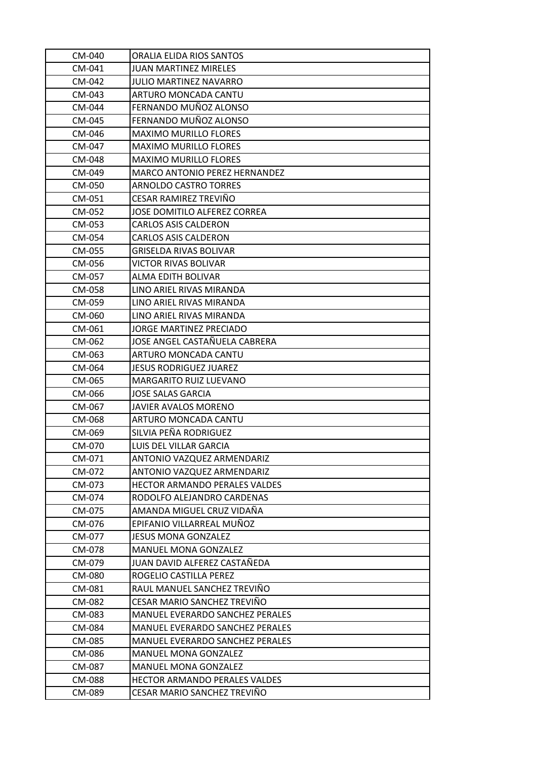| CM-040        | ORALIA ELIDA RIOS SANTOS               |
|---------------|----------------------------------------|
| CM-041        | <b>JUAN MARTINEZ MIRELES</b>           |
| CM-042        | JULIO MARTINEZ NAVARRO                 |
| CM-043        | ARTURO MONCADA CANTU                   |
| CM-044        | FERNANDO MUÑOZ ALONSO                  |
| CM-045        | FERNANDO MUÑOZ ALONSO                  |
| CM-046        | <b>MAXIMO MURILLO FLORES</b>           |
| CM-047        | <b>MAXIMO MURILLO FLORES</b>           |
| CM-048        | <b>MAXIMO MURILLO FLORES</b>           |
| CM-049        | MARCO ANTONIO PEREZ HERNANDEZ          |
| CM-050        | <b>ARNOLDO CASTRO TORRES</b>           |
| CM-051        | CESAR RAMIREZ TREVIÑO                  |
| CM-052        | JOSE DOMITILO ALFEREZ CORREA           |
| CM-053        | <b>CARLOS ASIS CALDERON</b>            |
| CM-054        | <b>CARLOS ASIS CALDERON</b>            |
| CM-055        | <b>GRISELDA RIVAS BOLIVAR</b>          |
| CM-056        | VICTOR RIVAS BOLIVAR                   |
| CM-057        | ALMA EDITH BOLIVAR                     |
| CM-058        | LINO ARIEL RIVAS MIRANDA               |
| CM-059        | LINO ARIEL RIVAS MIRANDA               |
| CM-060        | LINO ARIEL RIVAS MIRANDA               |
| CM-061        | JORGE MARTINEZ PRECIADO                |
| CM-062        | JOSE ANGEL CASTAÑUELA CABRERA          |
| CM-063        | <b>ARTURO MONCADA CANTU</b>            |
| CM-064        | <b>JESUS RODRIGUEZ JUAREZ</b>          |
| CM-065        | <b>MARGARITO RUIZ LUEVANO</b>          |
| CM-066        | <b>JOSE SALAS GARCIA</b>               |
| CM-067        | JAVIER AVALOS MORENO                   |
| CM-068        | ARTURO MONCADA CANTU                   |
| CM-069        | SILVIA PEÑA RODRIGUEZ                  |
| CM-070        | <b>LUIS DEL VILLAR GARCIA</b>          |
| CM-071        | ANTONIO VAZQUEZ ARMENDARIZ             |
| CM-072        | ANTONIO VAZQUEZ ARMENDARIZ             |
| CM-073        | <b>HECTOR ARMANDO PERALES VALDES</b>   |
| CM-074        | RODOLFO ALEJANDRO CARDENAS             |
| CM-075        | AMANDA MIGUEL CRUZ VIDAÑA              |
| CM-076        | EPIFANIO VILLARREAL MUÑOZ              |
| CM-077        | JESUS MONA GONZALEZ                    |
| CM-078        | <b>MANUEL MONA GONZALEZ</b>            |
| CM-079        | JUAN DAVID ALFEREZ CASTAÑEDA           |
| CM-080        | ROGELIO CASTILLA PEREZ                 |
| CM-081        | RAUL MANUEL SANCHEZ TREVIÑO            |
| CM-082        | CESAR MARIO SANCHEZ TREVIÑO            |
| CM-083        | <b>MANUEL EVERARDO SANCHEZ PERALES</b> |
| CM-084        | MANUEL EVERARDO SANCHEZ PERALES        |
| CM-085        | <b>MANUEL EVERARDO SANCHEZ PERALES</b> |
| CM-086        | <b>MANUEL MONA GONZALEZ</b>            |
| CM-087        | <b>MANUEL MONA GONZALEZ</b>            |
| <b>CM-088</b> | <b>HECTOR ARMANDO PERALES VALDES</b>   |
| CM-089        | CESAR MARIO SANCHEZ TREVIÑO            |